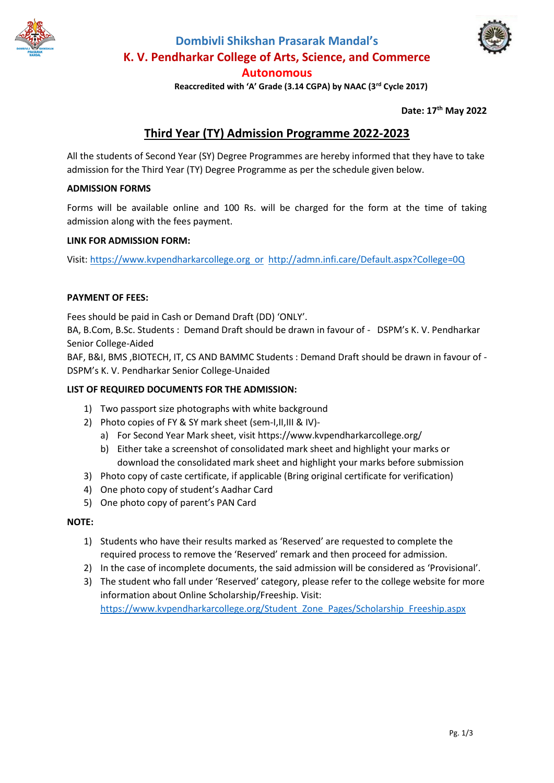

# **Dombivli Shikshan Prasarak Mandal's K. V. Pendharkar College of Arts, Science, and Commerce Autonomous**



 **Reaccredited with 'A' Grade (3.14 CGPA) by NAAC (3rd Cycle 2017)**

**Date: 17 th May 2022**

# **Third Year (TY) Admission Programme 2022-2023**

All the students of Second Year (SY) Degree Programmes are hereby informed that they have to take admission for the Third Year (TY) Degree Programme as per the schedule given below.

#### **ADMISSION FORMS**

Forms will be available online and 100 Rs. will be charged for the form at the time of taking admission along with the fees payment.

#### **LINK FOR ADMISSION FORM:**

Visit: https://www.kvpendharkarcollege.org or <http://admn.infi.care/Default.aspx?College=0Q>

#### **PAYMENT OF FEES:**

Fees should be paid in Cash or Demand Draft (DD) 'ONLY'.

BA, B.Com, B.Sc. Students : Demand Draft should be drawn in favour of - DSPM's K. V. Pendharkar Senior College-Aided

BAF, B&I, BMS ,BIOTECH, IT, CS AND BAMMC Students : Demand Draft should be drawn in favour of - DSPM's K. V. Pendharkar Senior College-Unaided

#### **LIST OF REQUIRED DOCUMENTS FOR THE ADMISSION:**

- 1) Two passport size photographs with white background
- 2) Photo copies of FY & SY mark sheet (sem-I,II,III & IV)
	- a) For Second Year Mark sheet, visit https://www.kvpendharkarcollege.org/
	- b) Either take a screenshot of consolidated mark sheet and highlight your marks or download the consolidated mark sheet and highlight your marks before submission
- 3) Photo copy of caste certificate, if applicable (Bring original certificate for verification)
- 4) One photo copy of student's Aadhar Card
- 5) One photo copy of parent's PAN Card

#### **NOTE:**

- 1) Students who have their results marked as 'Reserved' are requested to complete the required process to remove the 'Reserved' remark and then proceed for admission.
- 2) In the case of incomplete documents, the said admission will be considered as 'Provisional'.
- 3) The student who fall under 'Reserved' category, please refer to the college website for more information about Online Scholarship/Freeship. Visit: [https://www.kvpendharkarcollege.org/Student\\_Zone\\_Pages/Scholarship\\_Freeship.aspx](https://www.kvpendharkarcollege.org/Student_Zone_Pages/Scholarship_Freeship.aspx)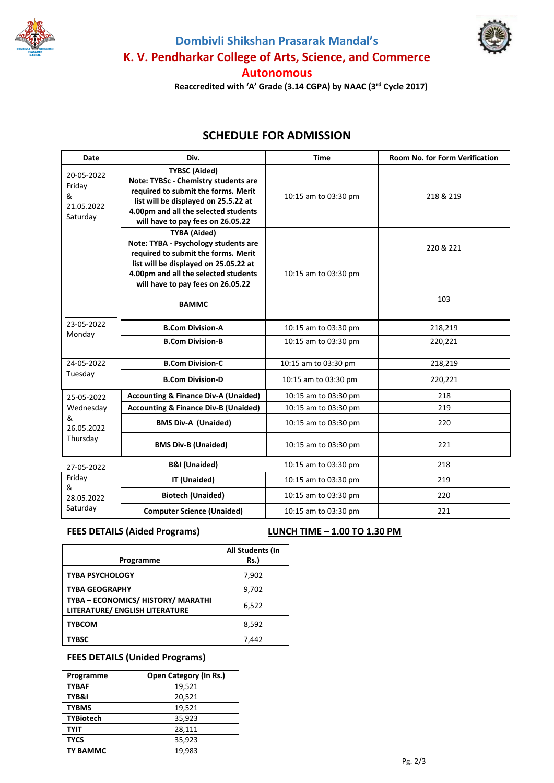





 **Reaccredited with 'A' Grade (3.14 CGPA) by NAAC (3rd Cycle 2017)**

## **SCHEDULE FOR ADMISSION**

| Date                                                   | Div.                                                                                                                                                                                                                     | <b>Time</b>          | <b>Room No. for Form Verification</b> |
|--------------------------------------------------------|--------------------------------------------------------------------------------------------------------------------------------------------------------------------------------------------------------------------------|----------------------|---------------------------------------|
| 20-05-2022<br>Friday<br>&<br>21.05.2022<br>Saturday    | <b>TYBSC (Aided)</b><br>Note: TYBSc - Chemistry students are<br>required to submit the forms. Merit<br>list will be displayed on 25.5.22 at<br>4.00pm and all the selected students<br>will have to pay fees on 26.05.22 | 10:15 am to 03:30 pm | 218 & 219                             |
|                                                        | <b>TYBA (Aided)</b><br>Note: TYBA - Psychology students are<br>required to submit the forms. Merit<br>list will be displayed on 25.05.22 at<br>4.00pm and all the selected students<br>will have to pay fees on 26.05.22 | 10:15 am to 03:30 pm | 220 & 221<br>103                      |
|                                                        | <b>BAMMC</b>                                                                                                                                                                                                             |                      |                                       |
| 23-05-2022<br>Monday                                   | <b>B.Com Division-A</b>                                                                                                                                                                                                  | 10:15 am to 03:30 pm | 218,219                               |
|                                                        | <b>B.Com Division-B</b>                                                                                                                                                                                                  | 10:15 am to 03:30 pm | 220,221                               |
| 24-05-2022<br>Tuesday                                  | <b>B.Com Division-C</b>                                                                                                                                                                                                  |                      |                                       |
|                                                        |                                                                                                                                                                                                                          | 10:15 am to 03:30 pm | 218,219                               |
|                                                        | <b>B.Com Division-D</b>                                                                                                                                                                                                  | 10:15 am to 03:30 pm | 220,221                               |
| 25-05-2022<br>Wednesday<br>&<br>26.05.2022<br>Thursday | <b>Accounting &amp; Finance Div-A (Unaided)</b>                                                                                                                                                                          | 10:15 am to 03:30 pm | 218                                   |
|                                                        | <b>Accounting &amp; Finance Div-B (Unaided)</b>                                                                                                                                                                          | 10:15 am to 03:30 pm | 219                                   |
|                                                        | <b>BMS Div-A (Unaided)</b>                                                                                                                                                                                               | 10:15 am to 03:30 pm | 220                                   |
|                                                        | <b>BMS Div-B (Unaided)</b>                                                                                                                                                                                               | 10:15 am to 03:30 pm | 221                                   |
| 27-05-2022<br>Friday<br>&<br>28.05.2022<br>Saturday    | <b>B&amp;I (Unaided)</b>                                                                                                                                                                                                 | 10:15 am to 03:30 pm | 218                                   |
|                                                        | IT (Unaided)                                                                                                                                                                                                             | 10:15 am to 03:30 pm | 219                                   |
|                                                        | <b>Biotech (Unaided)</b>                                                                                                                                                                                                 | 10:15 am to 03:30 pm | 220                                   |
|                                                        | <b>Computer Science (Unaided)</b>                                                                                                                                                                                        | 10:15 am to 03:30 pm | 221                                   |

### **FEES DETAILS (Aided Programs) LUNCH TIME – 1.00 TO 1.30 PM**

| Programme                                                            | All Students (In<br>Rs.) |
|----------------------------------------------------------------------|--------------------------|
| <b>TYBA PSYCHOLOGY</b>                                               | 7,902                    |
| <b>TYBA GEOGRAPHY</b>                                                | 9,702                    |
| TYBA - ECONOMICS/ HISTORY/ MARATHI<br>LITERATURE/ ENGLISH LITERATURE | 6,522                    |
| <b>TYBCOM</b>                                                        | 8,592                    |
| TYBSC                                                                | 7,442                    |

## **FEES DETAILS (Unided Programs)**

| Programme        | <b>Open Category (In Rs.)</b> |  |
|------------------|-------------------------------|--|
| <b>TYBAF</b>     | 19,521                        |  |
| TYB&I            | 20,521                        |  |
| <b>TYBMS</b>     | 19,521                        |  |
| <b>TYBiotech</b> | 35,923                        |  |
| <b>TYIT</b>      | 28,111                        |  |
| <b>TYCS</b>      | 35,923                        |  |
| <b>TY BAMMC</b>  | 19.983                        |  |